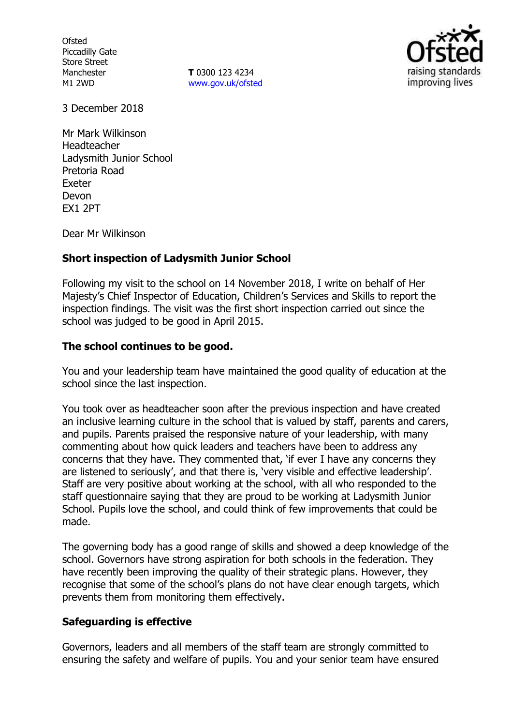**Ofsted** Piccadilly Gate Store Street Manchester M1 2WD

**T** 0300 123 4234 [www.gov.uk/ofsted](http://www.gov.uk/ofsted)



3 December 2018

Mr Mark Wilkinson Headteacher Ladysmith Junior School Pretoria Road Exeter Devon EX1 2PT

Dear Mr Wilkinson

## **Short inspection of Ladysmith Junior School**

Following my visit to the school on 14 November 2018, I write on behalf of Her Majesty's Chief Inspector of Education, Children's Services and Skills to report the inspection findings. The visit was the first short inspection carried out since the school was judged to be good in April 2015.

## **The school continues to be good.**

You and your leadership team have maintained the good quality of education at the school since the last inspection.

You took over as headteacher soon after the previous inspection and have created an inclusive learning culture in the school that is valued by staff, parents and carers, and pupils. Parents praised the responsive nature of your leadership, with many commenting about how quick leaders and teachers have been to address any concerns that they have. They commented that, 'if ever I have any concerns they are listened to seriously', and that there is, 'very visible and effective leadership'. Staff are very positive about working at the school, with all who responded to the staff questionnaire saying that they are proud to be working at Ladysmith Junior School. Pupils love the school, and could think of few improvements that could be made.

The governing body has a good range of skills and showed a deep knowledge of the school. Governors have strong aspiration for both schools in the federation. They have recently been improving the quality of their strategic plans. However, they recognise that some of the school's plans do not have clear enough targets, which prevents them from monitoring them effectively.

## **Safeguarding is effective**

Governors, leaders and all members of the staff team are strongly committed to ensuring the safety and welfare of pupils. You and your senior team have ensured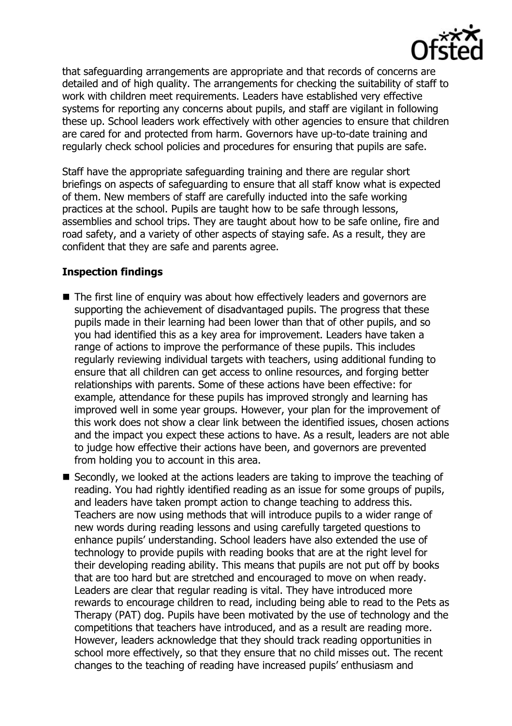

that safeguarding arrangements are appropriate and that records of concerns are detailed and of high quality. The arrangements for checking the suitability of staff to work with children meet requirements. Leaders have established very effective systems for reporting any concerns about pupils, and staff are vigilant in following these up. School leaders work effectively with other agencies to ensure that children are cared for and protected from harm. Governors have up-to-date training and regularly check school policies and procedures for ensuring that pupils are safe.

Staff have the appropriate safeguarding training and there are regular short briefings on aspects of safeguarding to ensure that all staff know what is expected of them. New members of staff are carefully inducted into the safe working practices at the school. Pupils are taught how to be safe through lessons, assemblies and school trips. They are taught about how to be safe online, fire and road safety, and a variety of other aspects of staying safe. As a result, they are confident that they are safe and parents agree.

# **Inspection findings**

- The first line of enquiry was about how effectively leaders and governors are supporting the achievement of disadvantaged pupils. The progress that these pupils made in their learning had been lower than that of other pupils, and so you had identified this as a key area for improvement. Leaders have taken a range of actions to improve the performance of these pupils. This includes regularly reviewing individual targets with teachers, using additional funding to ensure that all children can get access to online resources, and forging better relationships with parents. Some of these actions have been effective: for example, attendance for these pupils has improved strongly and learning has improved well in some year groups. However, your plan for the improvement of this work does not show a clear link between the identified issues, chosen actions and the impact you expect these actions to have. As a result, leaders are not able to judge how effective their actions have been, and governors are prevented from holding you to account in this area.
- $\blacksquare$  Secondly, we looked at the actions leaders are taking to improve the teaching of reading. You had rightly identified reading as an issue for some groups of pupils, and leaders have taken prompt action to change teaching to address this. Teachers are now using methods that will introduce pupils to a wider range of new words during reading lessons and using carefully targeted questions to enhance pupils' understanding. School leaders have also extended the use of technology to provide pupils with reading books that are at the right level for their developing reading ability. This means that pupils are not put off by books that are too hard but are stretched and encouraged to move on when ready. Leaders are clear that regular reading is vital. They have introduced more rewards to encourage children to read, including being able to read to the Pets as Therapy (PAT) dog. Pupils have been motivated by the use of technology and the competitions that teachers have introduced, and as a result are reading more. However, leaders acknowledge that they should track reading opportunities in school more effectively, so that they ensure that no child misses out. The recent changes to the teaching of reading have increased pupils' enthusiasm and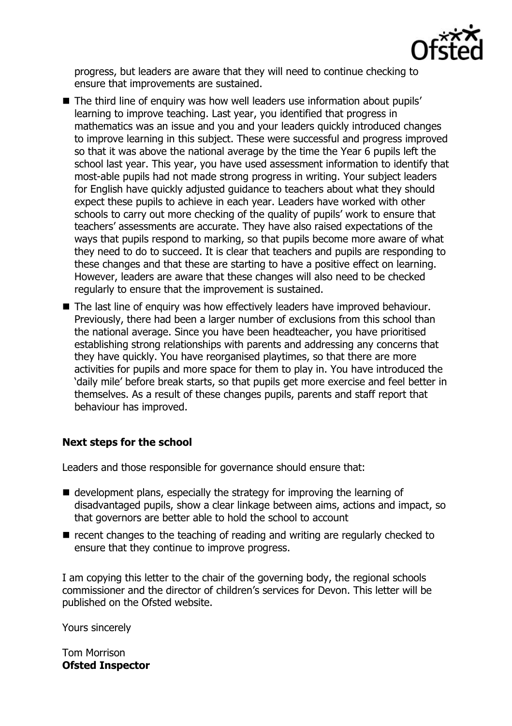

progress, but leaders are aware that they will need to continue checking to ensure that improvements are sustained.

- The third line of enquiry was how well leaders use information about pupils' learning to improve teaching. Last year, you identified that progress in mathematics was an issue and you and your leaders quickly introduced changes to improve learning in this subject. These were successful and progress improved so that it was above the national average by the time the Year 6 pupils left the school last year. This year, you have used assessment information to identify that most-able pupils had not made strong progress in writing. Your subject leaders for English have quickly adjusted guidance to teachers about what they should expect these pupils to achieve in each year. Leaders have worked with other schools to carry out more checking of the quality of pupils' work to ensure that teachers' assessments are accurate. They have also raised expectations of the ways that pupils respond to marking, so that pupils become more aware of what they need to do to succeed. It is clear that teachers and pupils are responding to these changes and that these are starting to have a positive effect on learning. However, leaders are aware that these changes will also need to be checked regularly to ensure that the improvement is sustained.
- The last line of enquiry was how effectively leaders have improved behaviour. Previously, there had been a larger number of exclusions from this school than the national average. Since you have been headteacher, you have prioritised establishing strong relationships with parents and addressing any concerns that they have quickly. You have reorganised playtimes, so that there are more activities for pupils and more space for them to play in. You have introduced the 'daily mile' before break starts, so that pupils get more exercise and feel better in themselves. As a result of these changes pupils, parents and staff report that behaviour has improved.

## **Next steps for the school**

Leaders and those responsible for governance should ensure that:

- $\blacksquare$  development plans, especially the strategy for improving the learning of disadvantaged pupils, show a clear linkage between aims, actions and impact, so that governors are better able to hold the school to account
- $\blacksquare$  recent changes to the teaching of reading and writing are regularly checked to ensure that they continue to improve progress.

I am copying this letter to the chair of the governing body, the regional schools commissioner and the director of children's services for Devon. This letter will be published on the Ofsted website.

Yours sincerely

Tom Morrison **Ofsted Inspector**